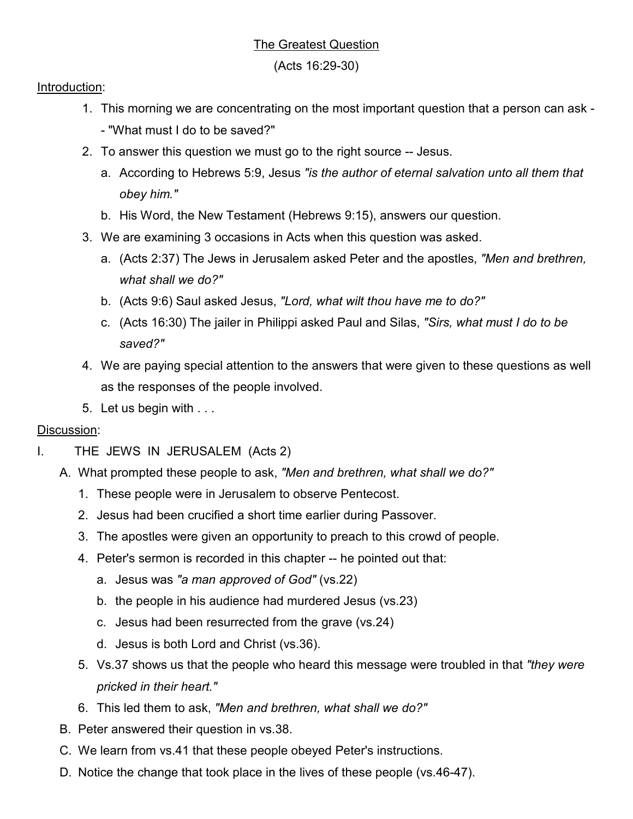## The Greatest Question

(Acts 16:29-30)

## Introduction:

- 1. This morning we are concentrating on the most important question that a person can ask - "What must I do to be saved?"
- 2. To answer this question we must go to the right source -- Jesus.
	- a. According to Hebrews 5:9, Jesus *"is the author of eternal salvation unto all them that obey him."*
	- b. His Word, the New Testament (Hebrews 9:15), answers our question.
- 3. We are examining 3 occasions in Acts when this question was asked.
	- a. (Acts 2:37) The Jews in Jerusalem asked Peter and the apostles, *"Men and brethren, what shall we do?"*
	- b. (Acts 9:6) Saul asked Jesus, *"Lord, what wilt thou have me to do?"*
	- c. (Acts 16:30) The jailer in Philippi asked Paul and Silas, *"Sirs, what must I do to be saved?"*
- 4. We are paying special attention to the answers that were given to these questions as well as the responses of the people involved.
- 5. Let us begin with . . .

## Discussion:

- I. THE JEWS IN JERUSALEM (Acts 2)
	- A. What prompted these people to ask, *"Men and brethren, what shall we do?"*
		- 1. These people were in Jerusalem to observe Pentecost.
		- 2. Jesus had been crucified a short time earlier during Passover.
		- 3. The apostles were given an opportunity to preach to this crowd of people.
		- 4. Peter's sermon is recorded in this chapter -- he pointed out that:
			- a. Jesus was *"a man approved of God"* (vs.22)
			- b. the people in his audience had murdered Jesus (vs.23)
			- c. Jesus had been resurrected from the grave (vs.24)
			- d. Jesus is both Lord and Christ (vs.36).
		- 5. Vs.37 shows us that the people who heard this message were troubled in that *"they were pricked in their heart."*
		- 6. This led them to ask, *"Men and brethren, what shall we do?"*
	- B. Peter answered their question in vs.38.
	- C. We learn from vs.41 that these people obeyed Peter's instructions.
	- D. Notice the change that took place in the lives of these people (vs.46-47).